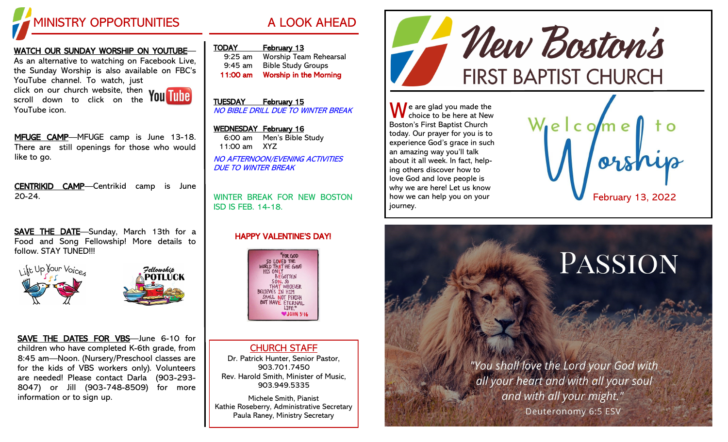

### WATCH OUR SUNDAY WORSHIP ON YOUTUBE—

As an alternative to watching on Facebook Live, the Sunday Worship is also available on FBC's YouTube channel. To watch, just click on our church website, then

scroll down to click on the YouTube icon.



MFUGE CAMP-MFUGE camp is June 13-18. There are still openings for those who would like to go.

CENTRIKID CAMP—Centrikid camp is June 20-24.

SAVE THE DATE-Sunday, March 13th for a Food and Song Fellowship! More details to follow. STAY TUNED!!!





SAVE THE DATES FOR VBS—June 6-10 for children who have completed K-6th grade, from 8:45 am—Noon. (Nursery/Preschool classes are for the kids of VBS workers only). Volunteers are needed! Please contact Darla (903-293- 8047) or Jill (903-748-8509) for more information or to sign up.

TODAY February 13 9:25 am Worship Team Rehearsal 9:45 am Bible Study Groups 11:00 am Worship in the Morning

TUESDAY February 15 NO BIBLE DRILL DUE TO WINTER BREAK

## WEDNESDAY February 16

6:00 am Men's Bible Study 11:00 am XYZ NO AFTERNOON/EVENING ACTIVITIES DUE TO WINTER BREAK

WINTER BREAK FOR NEW BOSTON ISD IS FEB. 14-18.

### HAPPY VALENTINE'S DAY!



CHURCH STAFF Dr. Patrick Hunter, Senior Pastor, 903.701.7450 Rev. Harold Smith, Minister of Music, 903.949.5335

Michele Smith, Pianist Kathie Roseberry, Administrative Secretary Paula Raney, Ministry Secretary



 $\bigwedge$  e are glad you made the choice to be here at New Boston's First Baptist Church today. Our prayer for you is to experience God's grace in such an amazing way you'll talk about it all week. In fact, helping others discover how to love God and love people is why we are here! Let us know how we can help you on your journey.



# PASSION

"You shall love the Lord your God with all your heart and with all your soul and with all your might." Deuteronomy 6:5 ESV